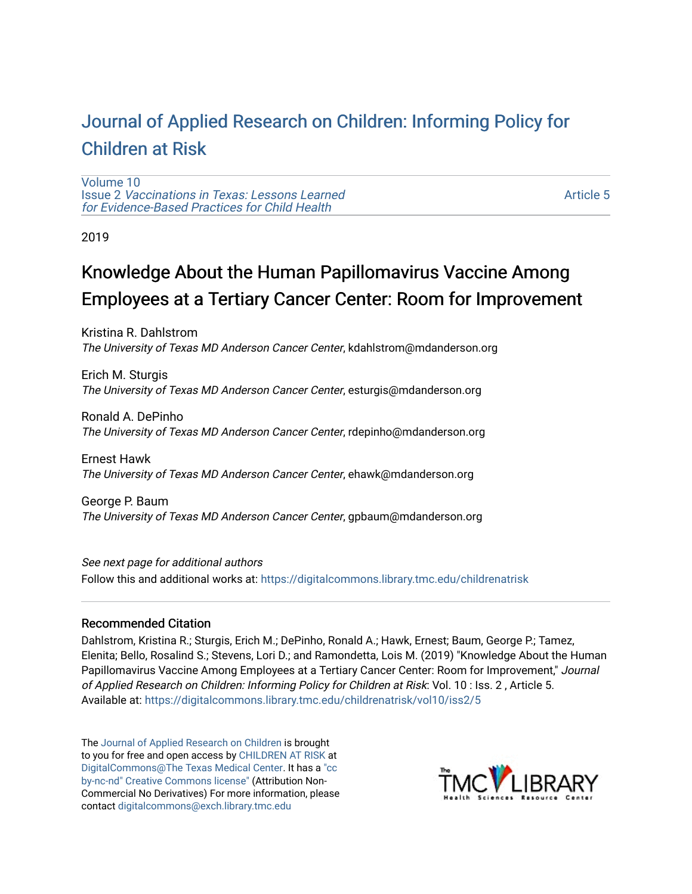# [Journal of Applied Research on Children: Informing Policy for](https://digitalcommons.library.tmc.edu/childrenatrisk) [Children at Risk](https://digitalcommons.library.tmc.edu/childrenatrisk)

[Volume 10](https://digitalcommons.library.tmc.edu/childrenatrisk/vol10) Issue 2 [Vaccinations in Texas: Lessons Learned](https://digitalcommons.library.tmc.edu/childrenatrisk/vol10/iss2)  [for Evidence-Based Practices for Child Health](https://digitalcommons.library.tmc.edu/childrenatrisk/vol10/iss2)

[Article 5](https://digitalcommons.library.tmc.edu/childrenatrisk/vol10/iss2/5) 

2019

# Knowledge About the Human Papillomavirus Vaccine Among Employees at a Tertiary Cancer Center: Room for Improvement

Kristina R. Dahlstrom The University of Texas MD Anderson Cancer Center, kdahlstrom@mdanderson.org

Erich M. Sturgis The University of Texas MD Anderson Cancer Center, esturgis@mdanderson.org

Ronald A. DePinho The University of Texas MD Anderson Cancer Center, rdepinho@mdanderson.org

Ernest Hawk The University of Texas MD Anderson Cancer Center, ehawk@mdanderson.org

George P. Baum The University of Texas MD Anderson Cancer Center, gpbaum@mdanderson.org

See next page for additional authors Follow this and additional works at: [https://digitalcommons.library.tmc.edu/childrenatrisk](https://digitalcommons.library.tmc.edu/childrenatrisk?utm_source=digitalcommons.library.tmc.edu%2Fchildrenatrisk%2Fvol10%2Fiss2%2F5&utm_medium=PDF&utm_campaign=PDFCoverPages) 

# Recommended Citation

Dahlstrom, Kristina R.; Sturgis, Erich M.; DePinho, Ronald A.; Hawk, Ernest; Baum, George P.; Tamez, Elenita; Bello, Rosalind S.; Stevens, Lori D.; and Ramondetta, Lois M. (2019) "Knowledge About the Human Papillomavirus Vaccine Among Employees at a Tertiary Cancer Center: Room for Improvement," Journal of Applied Research on Children: Informing Policy for Children at Risk: Vol. 10 : Iss. 2 , Article 5. Available at: [https://digitalcommons.library.tmc.edu/childrenatrisk/vol10/iss2/5](https://digitalcommons.library.tmc.edu/childrenatrisk/vol10/iss2/5?utm_source=digitalcommons.library.tmc.edu%2Fchildrenatrisk%2Fvol10%2Fiss2%2F5&utm_medium=PDF&utm_campaign=PDFCoverPages) 

The [Journal of Applied Research on Children](http://digitalcommons.library.tmc.edu/childrenatrisk) is brought to you for free and open access by [CHILDREN AT RISK](http://childrenatrisk.org/) at [DigitalCommons@The Texas Medical Center](http://digitalcommons.library.tmc.edu/). It has a ["cc](http://creativecommons.org/licenses/by-nc-nd/3.0/)  [by-nc-nd" Creative Commons license"](http://creativecommons.org/licenses/by-nc-nd/3.0/) (Attribution Non-Commercial No Derivatives) For more information, please contact [digitalcommons@exch.library.tmc.edu](mailto:digitalcommons@exch.library.tmc.edu) 

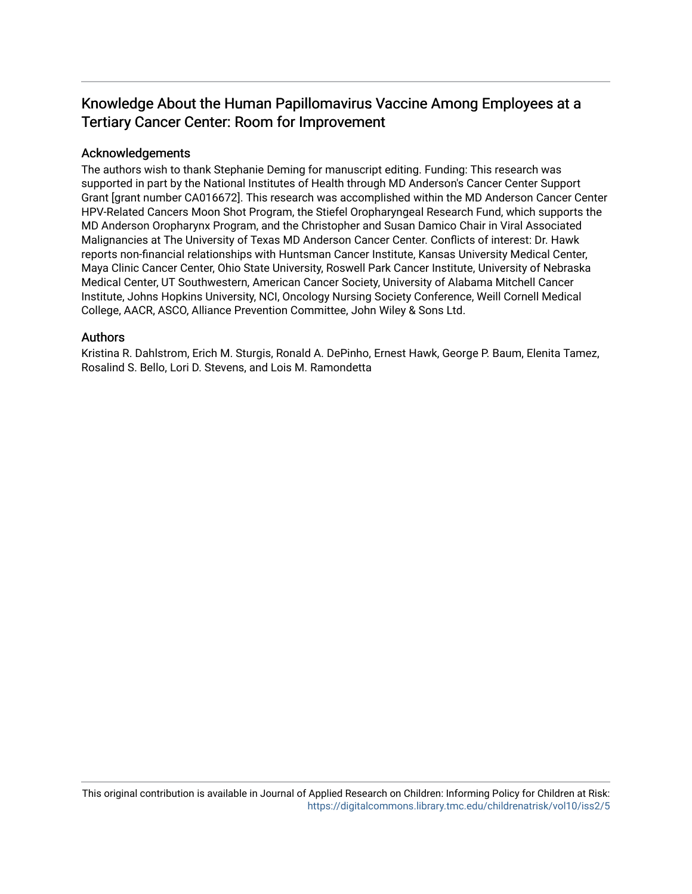# Knowledge About the Human Papillomavirus V accine Among Employees at a Tertiary Cancer Center: Room for Improvement

#### Acknowledgements

The authors wish to thank Stephanie Deming for manuscript editing. Funding: This research was supported in part by the National Institutes of Health through MD Anderson's Cancer Center Support Grant [grant number CA016672]. This research was accomplished within the MD Anderson Cancer Center HPV-Related Cancers Moon Shot Program, the Stiefel Oropharyngeal Research Fund, which supports the MD Anderson Oropharynx Program, and the Christopher and Susan Damico Chair in Viral Associated Malignancies at The University of Texas MD Anderson Cancer Center. Conflicts of interest: Dr. Hawk reports non-financial relationships with Huntsman Cancer Institute, Kansas University Medical Center, Maya Clinic Cancer Center, Ohio State University, Roswell Park Cancer Institute, University of Nebraska Medical Center, UT Southwestern, American Cancer Society, University of Alabama Mitchell Cancer Institute, Johns Hopkins University, NCI, Oncology Nursing Society Conference, Weill Cornell Medical College, AACR, ASCO, Alliance Prevention Committee, John Wiley & Sons Ltd.

#### Authors

Kristina R. Dahlstrom, Erich M. Sturgis, Ronald A. DePinho, Ernest Hawk, George P. Baum, Elenita Tamez, Rosalind S. Bello, Lori D. Stevens, and Lois M. Ramondetta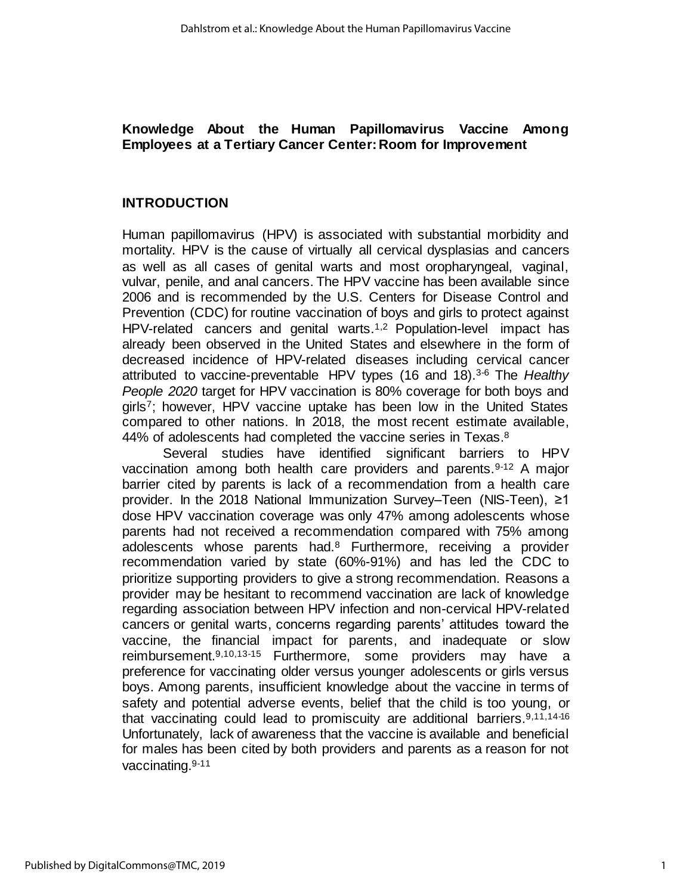# **Knowledge About the Human Papillomavirus Vaccine Among Employees at a Tertiary Cancer Center: Room for Improvement**

## **INTRODUCTION**

Human papillomavirus (HPV) is associated with substantial morbidity and mortality. HPV is the cause of virtually all cervical dysplasias and cancers as well as all cases of genital warts and most oropharyngeal, vaginal, vulvar, penile, and anal cancers. The HPV vaccine has been available since 2006 and is recommended by the U.S. Centers for Disease Control and Prevention (CDC) for routine vaccination of boys and girls to protect against HPV-related cancers and genital warts.<sup>1,2</sup> Population-level impact has already been observed in the United States and elsewhere in the form of decreased incidence of HPV-related diseases including cervical cancer attributed to vaccine-preventable HPV types (16 and 18).3-6 The *Healthy People 2020* target for HPV vaccination is 80% coverage for both boys and girls7; however, HPV vaccine uptake has been low in the United States compared to other nations. In 2018, the most recent estimate available, 44% of adolescents had completed the vaccine series in Texas.<sup>8</sup>

Several studies have identified significant barriers to HPV vaccination among both health care providers and parents.<sup>9-12</sup> A major barrier cited by parents is lack of a recommendation from a health care provider. In the 2018 National Immunization Survey–Teen (NIS-Teen), ≥1 dose HPV vaccination coverage was only 47% among adolescents whose parents had not received a recommendation compared with 75% among adolescents whose parents had.<sup>8</sup> Furthermore, receiving a provider recommendation varied by state (60%-91%) and has led the CDC to prioritize supporting providers to give a strong recommendation. Reasons a provider may be hesitant to recommend vaccination are lack of knowledge regarding association between HPV infection and non-cervical HPV-related cancers or genital warts, concerns regarding parents' attitudes toward the vaccine, the financial impact for parents, and inadequate or slow reimbursement.9,10,13-15 Furthermore, some providers may have a preference for vaccinating older versus younger adolescents or girls versus boys. Among parents, insufficient knowledge about the vaccine in terms of safety and potential adverse events, belief that the child is too young, or that vaccinating could lead to promiscuity are additional barriers.9,11,14-16 Unfortunately, lack of awareness that the vaccine is available and beneficial for males has been cited by both providers and parents as a reason for not vaccinating.9-11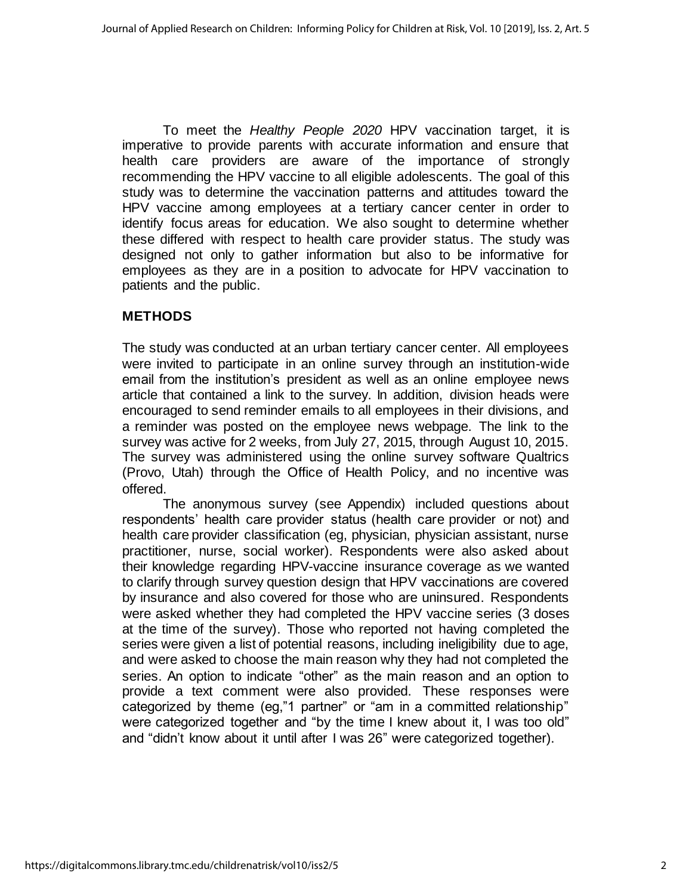To meet the *Healthy People 2020* HPV vaccination target, it is imperative to provide parents with accurate information and ensure that health care providers are aware of the importance of strongly recommending the HPV vaccine to all eligible adolescents. The goal of this study was to determine the vaccination patterns and attitudes toward the HPV vaccine among employees at a tertiary cancer center in order to identify focus areas for education. We also sought to determine whether these differed with respect to health care provider status. The study was designed not only to gather information but also to be informative for employees as they are in a position to advocate for HPV vaccination to patients and the public.

# **METHODS**

The study was conducted at an urban tertiary cancer center. All employees were invited to participate in an online survey through an institution-wide email from the institution's president as well as an online employee news article that contained a link to the survey. In addition, division heads were encouraged to send reminder emails to all employees in their divisions, and a reminder was posted on the employee news webpage. The link to the survey was active for 2 weeks, from July 27, 2015, through August 10, 2015. The survey was administered using the online survey software Qualtrics (Provo, Utah) through the Office of Health Policy, and no incentive was offered.

The anonymous survey (see Appendix) included questions about respondents' health care provider status (health care provider or not) and health care provider classification (eg, physician, physician assistant, nurse practitioner, nurse, social worker). Respondents were also asked about their knowledge regarding HPV-vaccine insurance coverage as we wanted to clarify through survey question design that HPV vaccinations are covered by insurance and also covered for those who are uninsured. Respondents were asked whether they had completed the HPV vaccine series (3 doses at the time of the survey). Those who reported not having completed the series were given a list of potential reasons, including ineligibility due to age, and were asked to choose the main reason why they had not completed the series. An option to indicate "other" as the main reason and an option to provide a text comment were also provided. These responses were categorized by theme (eg,"1 partner" or "am in a committed relationship" were categorized together and "by the time I knew about it, I was too old" and "didn't know about it until after I was 26" were categorized together).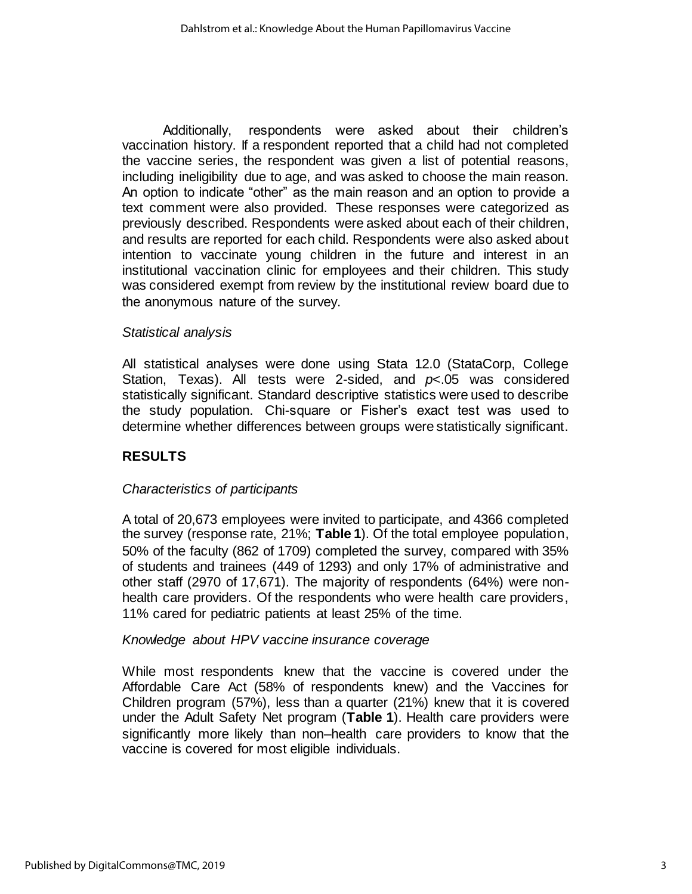Additionally, respondents were asked about their children's vaccination history. If a respondent reported that a child had not completed the vaccine series, the respondent was given a list of potential reasons, including ineligibility due to age, and was asked to choose the main reason. An option to indicate "other" as the main reason and an option to provide a text comment were also provided. These responses were categorized as previously described. Respondents were asked about each of their children, and results are reported for each child. Respondents were also asked about intention to vaccinate young children in the future and interest in an institutional vaccination clinic for employees and their children. This study was considered exempt from review by the institutional review board due to the anonymous nature of the survey.

## *Statistical analysis*

All statistical analyses were done using Stata 12.0 (StataCorp, College Station, Texas). All tests were 2-sided, and *p*<.05 was considered statistically significant. Standard descriptive statistics were used to describe the study population. Chi-square or Fisher's exact test was used to determine whether differences between groups were statistically significant.

# **RESULTS**

#### *Characteristics of participants*

A total of 20,673 employees were invited to participate, and 4366 completed the survey (response rate, 21%; **Table 1**). Of the total employee population, 50% of the faculty (862 of 1709) completed the survey, compared with 35% of students and trainees (449 of 1293) and only 17% of administrative and other staff (2970 of 17,671). The majority of respondents (64%) were nonhealth care providers. Of the respondents who were health care providers, 11% cared for pediatric patients at least 25% of the time.

#### *Knowledge about HPV vaccine insurance coverage*

While most respondents knew that the vaccine is covered under the Affordable Care Act (58% of respondents knew) and the Vaccines for Children program (57%), less than a quarter (21%) knew that it is covered under the Adult Safety Net program (**Table 1**). Health care providers were significantly more likely than non–health care providers to know that the vaccine is covered for most eligible individuals.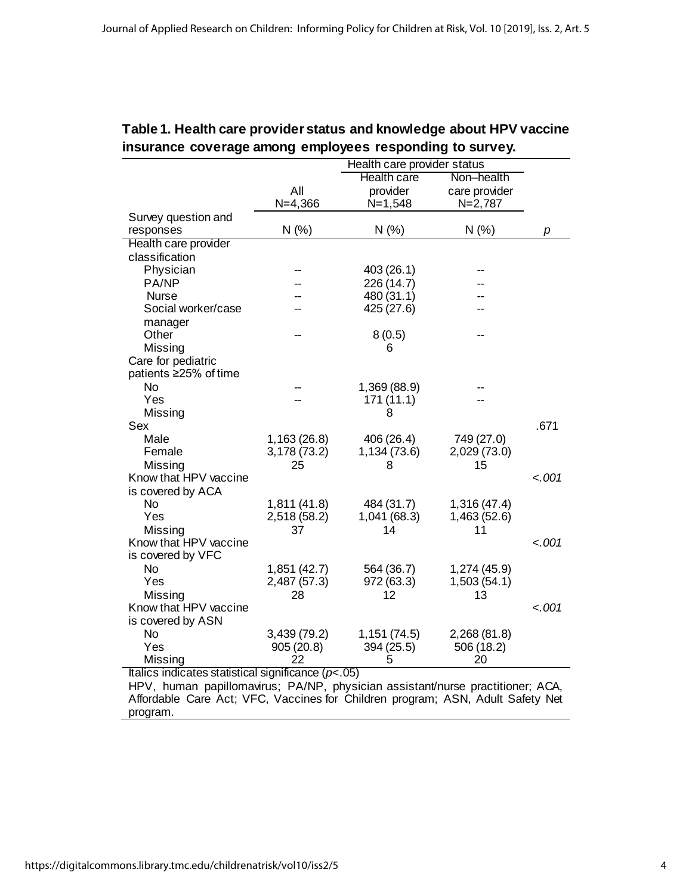|                              |                     | Health care provider status |               |         |  |  |
|------------------------------|---------------------|-----------------------------|---------------|---------|--|--|
|                              |                     | Health care                 | Non-health    |         |  |  |
|                              | All                 | provider                    | care provider |         |  |  |
|                              | $N = 4,366$         | $N = 1,548$                 | $N=2,787$     |         |  |  |
| Survey question and          |                     |                             |               |         |  |  |
| responses                    | N(% )               | N(% )                       | N(% )         | р       |  |  |
| Health care provider         |                     |                             |               |         |  |  |
| classification               |                     |                             |               |         |  |  |
| Physician                    |                     | 403 (26.1)                  |               |         |  |  |
| PA/NP                        |                     | 226 (14.7)                  |               |         |  |  |
| <b>Nurse</b>                 |                     | 480 (31.1)                  |               |         |  |  |
| Social worker/case           |                     | 425 (27.6)                  |               |         |  |  |
| manager                      |                     |                             |               |         |  |  |
| Other                        |                     | 8(0.5)                      |               |         |  |  |
| Missing                      |                     | 6                           |               |         |  |  |
| Care for pediatric           |                     |                             |               |         |  |  |
| patients ≥25% of time        |                     |                             |               |         |  |  |
| <b>No</b>                    |                     | 1,369 (88.9)                |               |         |  |  |
| Yes                          |                     | 171 (11.1)                  |               |         |  |  |
| Missing                      |                     | 8                           |               |         |  |  |
| Sex                          |                     |                             |               | .671    |  |  |
| Male                         | 1,163 (26.8)        | 406 (26.4)                  | 749 (27.0)    |         |  |  |
| Female                       | 3,178 (73.2)        | 1,134 (73.6)                | 2,029 (73.0)  |         |  |  |
| Missing                      | 25                  | 8                           | 15            |         |  |  |
| Know that HPV vaccine        |                     |                             |               | $-.001$ |  |  |
| is covered by ACA            |                     |                             |               |         |  |  |
| N <sub>o</sub>               | 1,811 (41.8)        | 484 (31.7)                  | 1,316 (47.4)  |         |  |  |
| Yes                          | 2,518 (58.2)        | 1,041 (68.3)                | 1,463 (52.6)  |         |  |  |
| Missing                      | 37                  | 14                          | 11            |         |  |  |
| Know that HPV vaccine        |                     |                             |               | $-.001$ |  |  |
| is covered by VFC            |                     |                             |               |         |  |  |
| <b>No</b>                    | 1,851 (42.7)        | 564 (36.7)                  | 1,274 (45.9)  |         |  |  |
| Yes                          | 2,487 (57.3)        | 972 (63.3)                  | 1,503(54.1)   |         |  |  |
| Missing                      | 28                  | 12                          | 13            |         |  |  |
| Know that HPV vaccine        |                     |                             |               | $-.001$ |  |  |
| is covered by ASN            |                     |                             |               |         |  |  |
| <b>No</b>                    | 3,439 (79.2)        | 1,151(74.5)                 | 2,268 (81.8)  |         |  |  |
| Yes                          | 905(20.8)           | 394 (25.5)                  | 506 (18.2)    |         |  |  |
| Missing                      | 22                  | 5                           | 20            |         |  |  |
| tolion indianton atotiotical | $o$ ianificanos (n. | $\overline{C}$              |               |         |  |  |

# **Table 1. Health care provider status and knowledge about HPV vaccine insurance coverage among employees responding to survey.**

Italics indicates statistical significance (*p*<.05)

HPV, human papillomavirus; PA/NP, physician assistant/nurse practitioner; ACA, Affordable Care Act; VFC, Vaccines for Children program; ASN, Adult Safety Net program.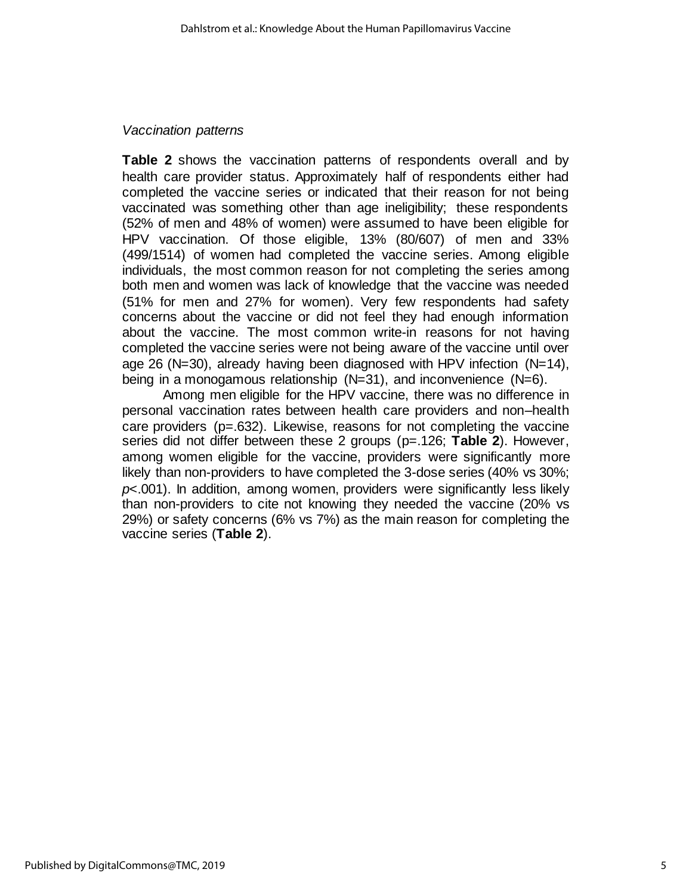#### *Vaccination patterns*

**Table 2** shows the vaccination patterns of respondents overall and by health care provider status. Approximately half of respondents either had completed the vaccine series or indicated that their reason for not being vaccinated was something other than age ineligibility; these respondents (52% of men and 48% of women) were assumed to have been eligible for HPV vaccination. Of those eligible, 13% (80/607) of men and 33% (499/1514) of women had completed the vaccine series. Among eligible individuals, the most common reason for not completing the series among both men and women was lack of knowledge that the vaccine was needed (51% for men and 27% for women). Very few respondents had safety concerns about the vaccine or did not feel they had enough information about the vaccine. The most common write-in reasons for not having completed the vaccine series were not being aware of the vaccine until over age 26 (N=30), already having been diagnosed with HPV infection (N=14), being in a monogamous relationship (N=31), and inconvenience (N=6).

Among men eligible for the HPV vaccine, there was no difference in personal vaccination rates between health care providers and non–health care providers (p=.632). Likewise, reasons for not completing the vaccine series did not differ between these 2 groups (p=.126; **Table 2**). However, among women eligible for the vaccine, providers were significantly more likely than non-providers to have completed the 3-dose series (40% vs 30%; *p*<.001). In addition, among women, providers were significantly less likely than non-providers to cite not knowing they needed the vaccine (20% vs 29%) or safety concerns (6% vs 7%) as the main reason for completing the vaccine series (**Table 2**).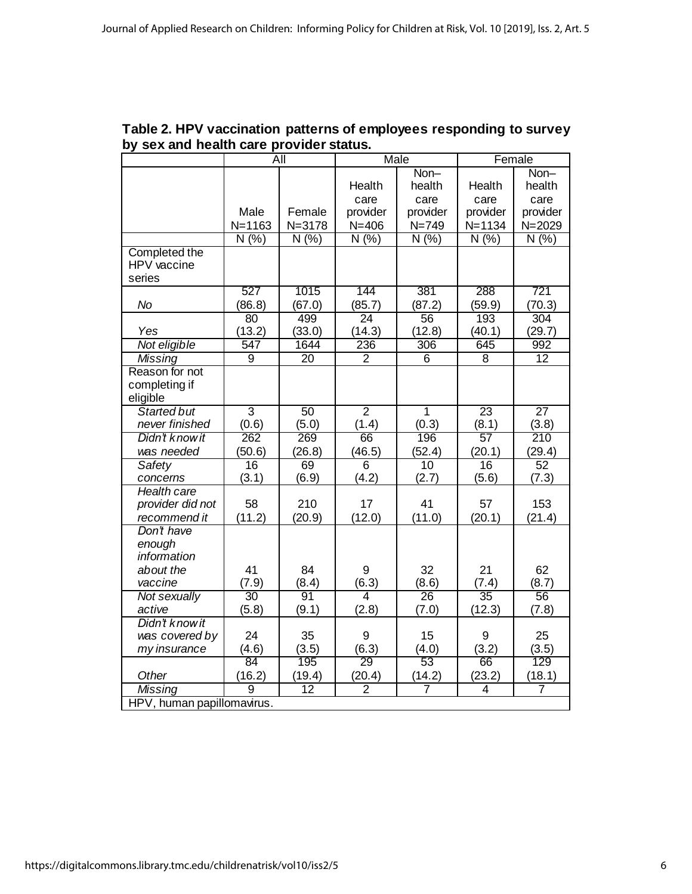|                            | All            |                 | Male            |                 | Female          |                 |
|----------------------------|----------------|-----------------|-----------------|-----------------|-----------------|-----------------|
|                            |                |                 |                 | Non-            |                 | Non-            |
|                            |                |                 | Health          | health          | Health          | health          |
|                            |                |                 | care            | care            | care            | care            |
|                            | Male           | Female          | provider        | provider        | provider        | provider        |
|                            | $N = 1163$     | $N = 3178$      | $N = 406$       | $N = 749$       | $N = 1134$      | $N = 2029$      |
|                            | N(%)           | N(%)            | N(% )           | N(% )           | N(% )           | N(%)            |
| Completed the              |                |                 |                 |                 |                 |                 |
| HPV vaccine                |                |                 |                 |                 |                 |                 |
| series                     |                |                 |                 |                 |                 |                 |
|                            | 527            | 1015            | 144             | 381             | 288             | 721             |
| No                         | (86.8)         | (67.0)          | (85.7)          | (87.2)          | (59.9)          | (70.3)          |
|                            | 80             | 499             | $\overline{24}$ | $\overline{56}$ | 193             | 304             |
| Yes                        | (13.2)         | (33.0)          | (14.3)          | (12.8)          | (40.1)          | (29.7)          |
| Not eligible               | 547            | 1644            | 236             | 306             | 645             | 992             |
| <b>Missing</b>             | $\overline{9}$ | $\overline{20}$ | $\overline{2}$  | $\overline{6}$  | $\overline{8}$  | 12              |
| Reason for not             |                |                 |                 |                 |                 |                 |
| completing if              |                |                 |                 |                 |                 |                 |
| eligible                   |                |                 |                 |                 |                 |                 |
| <b>Started but</b>         | $\overline{3}$ | 50              | $\overline{2}$  | $\overline{1}$  | $\overline{23}$ | $\overline{27}$ |
| never finished             | (0.6)          | (5.0)           | (1.4)           | (0.3)           | (8.1)           | (3.8)           |
| Didn't know it             | 262            | 269             | 66              | 196             | 57              | 210             |
| was needed                 | (50.6)         | (26.8)          | (46.5)          | (52.4)          | (20.1)          | (29.4)          |
| <b>Safety</b>              | 16             | 69              | $\overline{6}$  | 10              | 16              | 52              |
| concerns                   | (3.1)          | (6.9)           | (4.2)           | (2.7)           | (5.6)           | (7.3)           |
| <b>Health care</b>         |                |                 |                 |                 |                 |                 |
| provider did not           | 58             | 210             | 17              | 41              | 57              | 153             |
| recommend it               | (11.2)         | (20.9)          | (12.0)          | (11.0)          | (20.1)          | (21.4)          |
| Don't have                 |                |                 |                 |                 |                 |                 |
| enough                     |                |                 |                 |                 |                 |                 |
| information                |                |                 |                 |                 |                 |                 |
| about the                  | 41             | 84              | 9               | 32              | 21              | 62              |
| vaccine                    | (7.9)          | (8.4)           | (6.3)           | (8.6)           | (7.4)           | (8.7)           |
| Not sexually               | 30             | 91              | 4               | 26              | 35              | 56              |
| active                     | (5.8)          | (9.1)           | (2.8)           | (7.0)           | (12.3)          | (7.8)           |
| Didn't know it             |                |                 |                 |                 |                 |                 |
| was covered by             | 24             | 35              | 9               | 15              | 9               | 25              |
| my insurance               | (4.6)          | (3.5)           | (6.3)           | (4.0)           | (3.2)           | (3.5)           |
|                            | 84             | 195             | 29              | 53              | 66              | 129             |
| Other                      | (16.2)         | (19.4)          | (20.4)          | (14.2)          | (23.2)          | (18.1)          |
| <b>Missing</b>             | $\overline{9}$ | $\overline{12}$ | $\overline{2}$  | 7               | 4               | $\overline{7}$  |
| HPV, human papillomavirus. |                |                 |                 |                 |                 |                 |

**Table 2. HPV vaccination patterns of employees responding to survey by sex and health care provider status.**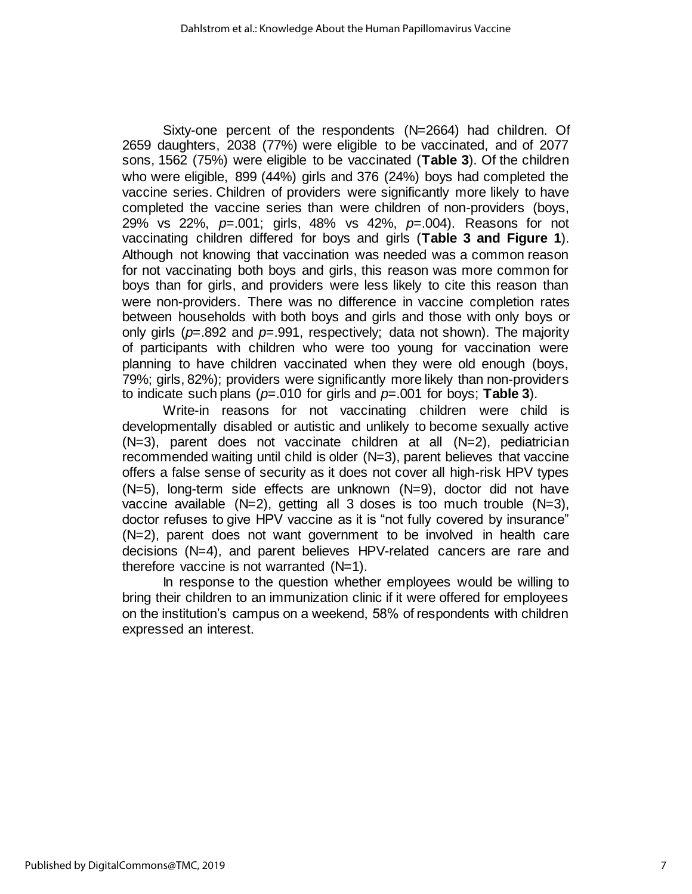Sixty-one percent of the respondents (N=2664) had children. Of 2659 daughters, 2038 (77%) were eligible to be vaccinated, and of 2077 sons, 1562 (75%) were eligible to be vaccinated (**Table 3**). Of the children who were eligible, 899 (44%) girls and 376 (24%) boys had completed the vaccine series. Children of providers were significantly more likely to have completed the vaccine series than were children of non-providers (boys, 29% vs 22%, *p*=.001; girls, 48% vs 42%, *p*=.004). Reasons for not vaccinating children differed for boys and girls (**Table 3 and Figure 1**). Although not knowing that vaccination was needed was a common reason for not vaccinating both boys and girls, this reason was more common for boys than for girls, and providers were less likely to cite this reason than were non-providers. There was no difference in vaccine completion rates between households with both boys and girls and those with only boys or only girls (*p*=.892 and *p*=.991, respectively; data not shown). The majority of participants with children who were too young for vaccination were planning to have children vaccinated when they were old enough (boys, 79%; girls, 82%); providers were significantly more likely than non-providers to indicate such plans (*p*=.010 for girls and *p*=.001 for boys; **Table 3**).

Write-in reasons for not vaccinating children were child is developmentally disabled or autistic and unlikely to become sexually active (N=3), parent does not vaccinate children at all (N=2), pediatrician recommended waiting until child is older (N=3), parent believes that vaccine offers a false sense of security as it does not cover all high-risk HPV types (N=5), long-term side effects are unknown (N=9), doctor did not have vaccine available (N=2), getting all 3 doses is too much trouble (N=3), doctor refuses to give HPV vaccine as it is "not fully covered by insurance" (N=2), parent does not want government to be involved in health care decisions (N=4), and parent believes HPV-related cancers are rare and therefore vaccine is not warranted  $(N=1)$ .

In response to the question whether employees would be willing to bring their children to an immunization clinic if it were offered for employees on the institution's campus on a weekend, 58% of respondents with children expressed an interest.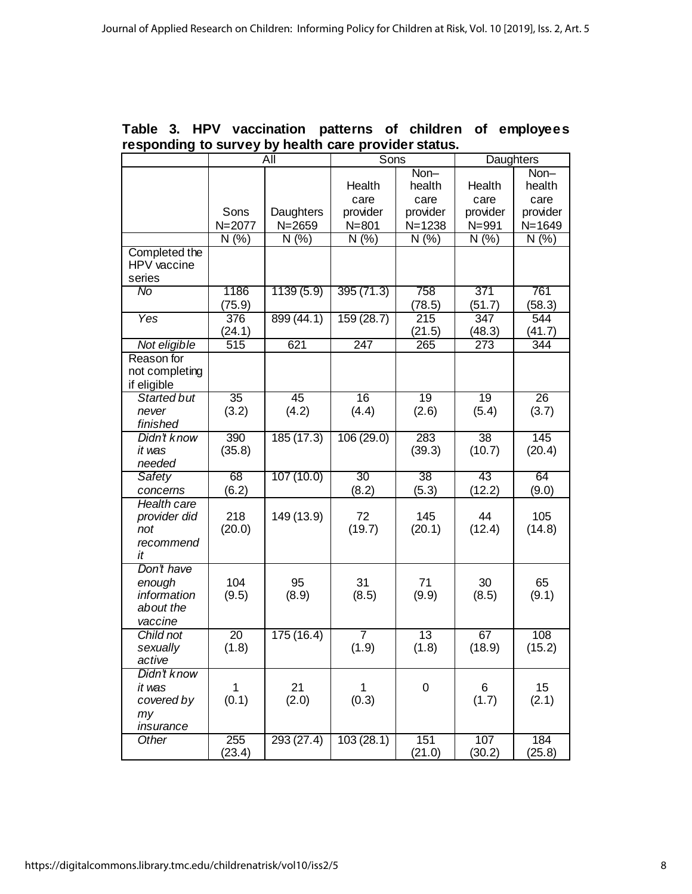|                    | $\overline{All}$ |            | Sons      |                 | Daughters        |                 |
|--------------------|------------------|------------|-----------|-----------------|------------------|-----------------|
|                    |                  |            |           | Non-            |                  | Non-            |
|                    |                  |            | Health    | health          | Health           | health          |
|                    |                  |            | care      | care            | care             | care            |
|                    | Sons             | Daughters  | provider  | provider        | provider         | provider        |
|                    | N=2077           | $N = 2659$ | $N = 801$ | $N = 1238$      | $N = 991$        | $N = 1649$      |
|                    | N(% )            | N(%        | N(% )     | N(% )           | N(% )            | N(% )           |
| Completed the      |                  |            |           |                 |                  |                 |
| HPV vaccine        |                  |            |           |                 |                  |                 |
| series             |                  |            |           |                 |                  |                 |
| No                 | 1186             | 1139(5.9)  | 395(71.3) | 758             | 371              | 761             |
|                    | (75.9)           |            |           | (78.5)          | (51.7)           | (58.3)          |
| <b>Yes</b>         | 376              | 899(44.1)  | 159(28.7) | 215             | 347              | 544             |
|                    | (24.1)           |            |           | (21.5)          | (48.3)           | (41.7)          |
| Not eligible       | $\overline{515}$ | 621        | 247       | 265             | $\overline{273}$ | 344             |
| Reason for         |                  |            |           |                 |                  |                 |
| not completing     |                  |            |           |                 |                  |                 |
| if eligible        |                  |            |           |                 |                  |                 |
| <b>Started but</b> | 35               | 45         | 16        | 19              | 19               | $\overline{26}$ |
| never              | (3.2)            | (4.2)      | (4.4)     | (2.6)           | (5.4)            | (3.7)           |
| finished           |                  |            |           |                 |                  |                 |
| Didn't know        | 390              | 185(17.3)  | 106(29.0) | 283             | 38               | 145             |
| it was             | (35.8)           |            |           | (39.3)          | (10.7)           | (20.4)          |
| needed             |                  |            |           |                 |                  |                 |
| Safety             | 68               | 107(10.0)  | 30        | 38              | 43               | 64              |
| concerns           | (6.2)            |            | (8.2)     | (5.3)           | (12.2)           | (9.0)           |
| <b>Health care</b> |                  |            |           |                 |                  |                 |
| provider did       | 218              | 149 (13.9) | 72        | 145             | 44               | 105             |
| not                | (20.0)           |            | (19.7)    | (20.1)          | (12.4)           | (14.8)          |
| recommend          |                  |            |           |                 |                  |                 |
| it                 |                  |            |           |                 |                  |                 |
| Don't have         |                  |            |           |                 |                  |                 |
| enough             | 104              | 95         | 31        | 71              | 30               | 65              |
| information        | (9.5)            | (8.9)      | (8.5)     | (9.9)           | (8.5)            | (9.1)           |
| about the          |                  |            |           |                 |                  |                 |
| vaccine            |                  |            |           |                 |                  |                 |
| Child not          | $\overline{20}$  | 175(16.4)  | 7         | $\overline{13}$ | 67               | 108             |
| sexually           | (1.8)            |            | (1.9)     | (1.8)           | (18.9)           | (15.2)          |
| active             |                  |            |           |                 |                  |                 |
| Didn't know        |                  |            |           |                 |                  |                 |
| it was             | 1                | 21         | 1         | 0               | 6                | 15              |
| covered by         | (0.1)            | (2.0)      | (0.3)     |                 | (1.7)            | (2.1)           |
| my                 |                  |            |           |                 |                  |                 |
| insurance          |                  |            |           |                 |                  |                 |
| Other              | 255              | 293(27.4)  | 103(28.1) | 151             | 107              | 184             |
|                    | (23.4)           |            |           | (21.0)          | (30.2)           | (25.8)          |

## **Table 3. HPV vaccination patterns of children of employees responding to survey by health care provider status.**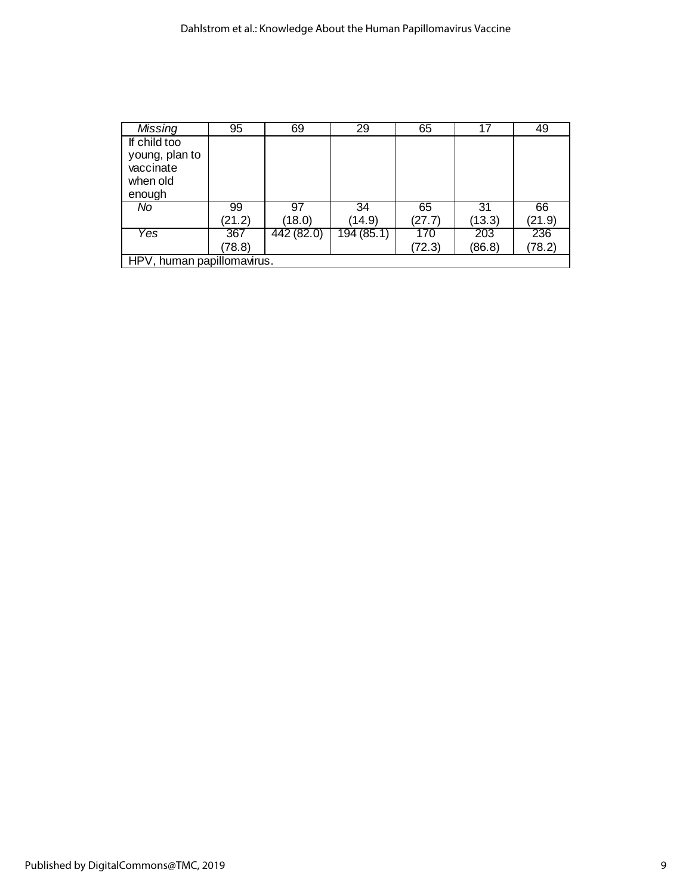| Missing                    | 95     | 69         | 29         | 65     | 17     | 49     |
|----------------------------|--------|------------|------------|--------|--------|--------|
| If child too               |        |            |            |        |        |        |
| young, plan to             |        |            |            |        |        |        |
| vaccinate                  |        |            |            |        |        |        |
| when old                   |        |            |            |        |        |        |
| enough                     |        |            |            |        |        |        |
| No                         | 99     | 97         | 34         | 65     | 31     | 66     |
|                            | (21.2) | (18.0)     | (14.9)     | (27.7) | (13.3) | (21.9) |
| Yes                        | 367    | 442 (82.0) | 194 (85.1) | 170    | 203    | 236    |
|                            | (78.8) |            |            | (72.3) | (86.8) | (78.2) |
| HPV, human papillomavirus. |        |            |            |        |        |        |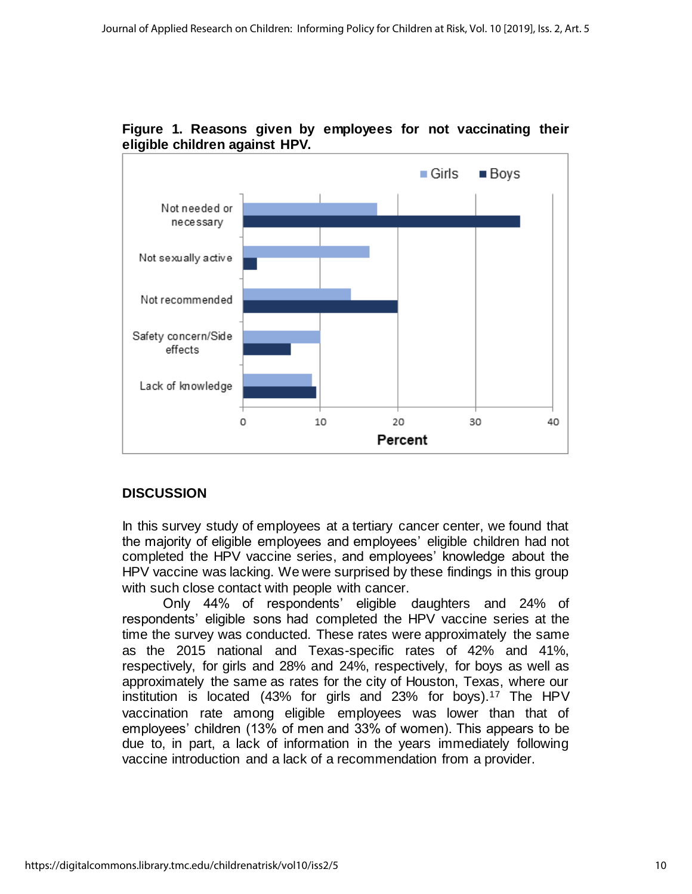

**Figure 1. Reasons given by employees for not vaccinating their eligible children against HPV.**

# **DISCUSSION**

In this survey study of employees at a tertiary cancer center, we found that the majority of eligible employees and employees' eligible children had not completed the HPV vaccine series, and employees' knowledge about the HPV vaccine was lacking. We were surprised by these findings in this group with such close contact with people with cancer.

Only 44% of respondents' eligible daughters and 24% of respondents' eligible sons had completed the HPV vaccine series at the time the survey was conducted. These rates were approximately the same as the 2015 national and Texas-specific rates of 42% and 41%, respectively, for girls and 28% and 24%, respectively, for boys as well as approximately the same as rates for the city of Houston, Texas, where our institution is located (43% for girls and 23% for boys).<sup>17</sup> The HPV vaccination rate among eligible employees was lower than that of employees' children (13% of men and 33% of women). This appears to be due to, in part, a lack of information in the years immediately following vaccine introduction and a lack of a recommendation from a provider.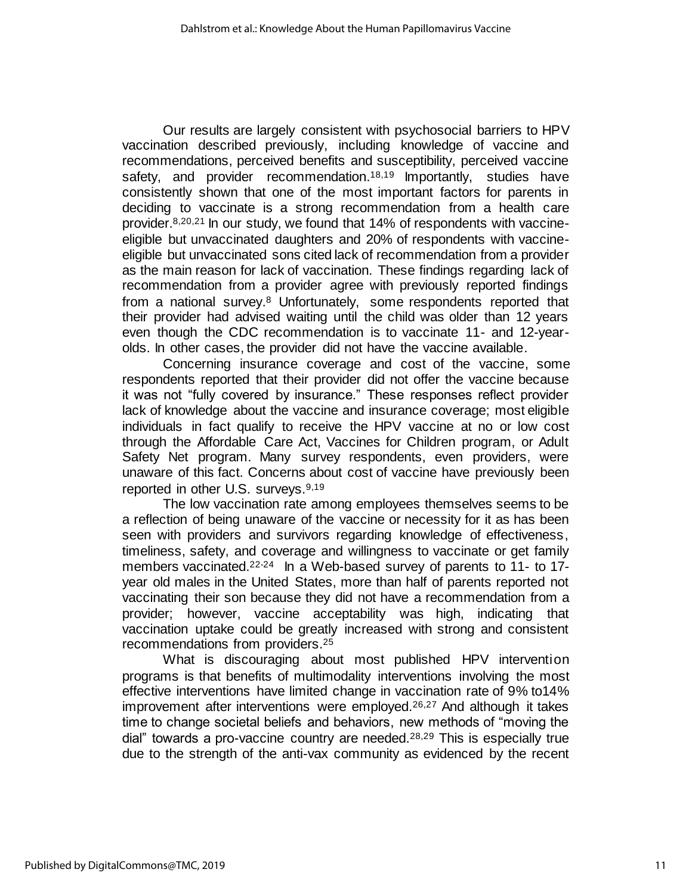Our results are largely consistent with psychosocial barriers to HPV vaccination described previously, including knowledge of vaccine and recommendations, perceived benefits and susceptibility, perceived vaccine safety, and provider recommendation.<sup>18,19</sup> Importantly, studies have consistently shown that one of the most important factors for parents in deciding to vaccinate is a strong recommendation from a health care provider.8,20,21 In our study, we found that 14% of respondents with vaccineeligible but unvaccinated daughters and 20% of respondents with vaccineeligible but unvaccinated sons cited lack of recommendation from a provider as the main reason for lack of vaccination. These findings regarding lack of recommendation from a provider agree with previously reported findings from a national survey.<sup>8</sup> Unfortunately, some respondents reported that their provider had advised waiting until the child was older than 12 years even though the CDC recommendation is to vaccinate 11- and 12-yearolds. In other cases, the provider did not have the vaccine available.

Concerning insurance coverage and cost of the vaccine, some respondents reported that their provider did not offer the vaccine because it was not "fully covered by insurance." These responses reflect provider lack of knowledge about the vaccine and insurance coverage; most eligible individuals in fact qualify to receive the HPV vaccine at no or low cost through the Affordable Care Act, Vaccines for Children program, or Adult Safety Net program. Many survey respondents, even providers, were unaware of this fact. Concerns about cost of vaccine have previously been reported in other U.S. surveys.<sup>9,19</sup>

The low vaccination rate among employees themselves seems to be a reflection of being unaware of the vaccine or necessity for it as has been seen with providers and survivors regarding knowledge of effectiveness, timeliness, safety, and coverage and willingness to vaccinate or get family members vaccinated.<sup>22-24</sup> In a Web-based survey of parents to 11- to 17year old males in the United States, more than half of parents reported not vaccinating their son because they did not have a recommendation from a provider; however, vaccine acceptability was high, indicating that vaccination uptake could be greatly increased with strong and consistent recommendations from providers.<sup>25</sup>

What is discouraging about most published HPV intervention programs is that benefits of multimodality interventions involving the most effective interventions have limited change in vaccination rate of 9% to14% improvement after interventions were employed.<sup>26,27</sup> And although it takes time to change societal beliefs and behaviors, new methods of "moving the dial" towards a pro-vaccine country are needed.28,29 This is especially true due to the strength of the anti-vax community as evidenced by the recent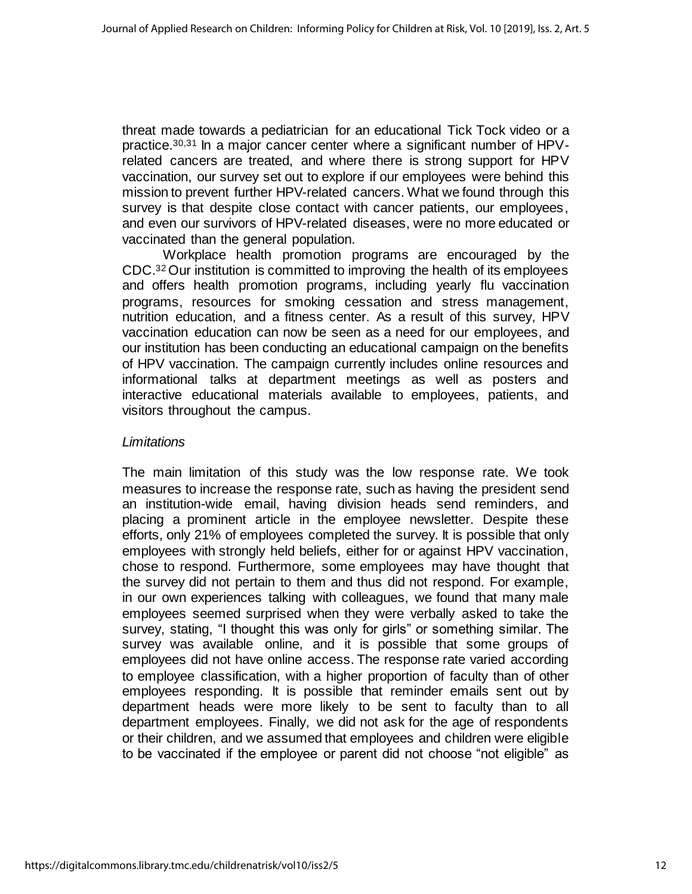threat made towards a pediatrician for an educational Tick Tock video or a practice.30,31 In a major cancer center where a significant number of HPVrelated cancers are treated, and where there is strong support for HPV vaccination, our survey set out to explore if our employees were behind this mission to prevent further HPV-related cancers. What we found through this survey is that despite close contact with cancer patients, our employees, and even our survivors of HPV-related diseases, were no more educated or vaccinated than the general population.

Workplace health promotion programs are encouraged by the CDC. <sup>32</sup> Our institution is committed to improving the health of its employees and offers health promotion programs, including yearly flu vaccination programs, resources for smoking cessation and stress management, nutrition education, and a fitness center. As a result of this survey, HPV vaccination education can now be seen as a need for our employees, and our institution has been conducting an educational campaign on the benefits of HPV vaccination. The campaign currently includes online resources and informational talks at department meetings as well as posters and interactive educational materials available to employees, patients, and visitors throughout the campus.

#### *Limitations*

The main limitation of this study was the low response rate. We took measures to increase the response rate, such as having the president send an institution-wide email, having division heads send reminders, and placing a prominent article in the employee newsletter. Despite these efforts, only 21% of employees completed the survey. It is possible that only employees with strongly held beliefs, either for or against HPV vaccination, chose to respond. Furthermore, some employees may have thought that the survey did not pertain to them and thus did not respond. For example, in our own experiences talking with colleagues, we found that many male employees seemed surprised when they were verbally asked to take the survey, stating, "I thought this was only for girls" or something similar. The survey was available online, and it is possible that some groups of employees did not have online access. The response rate varied according to employee classification, with a higher proportion of faculty than of other employees responding. It is possible that reminder emails sent out by department heads were more likely to be sent to faculty than to all department employees. Finally, we did not ask for the age of respondents or their children, and we assumed that employees and children were eligible to be vaccinated if the employee or parent did not choose "not eligible" as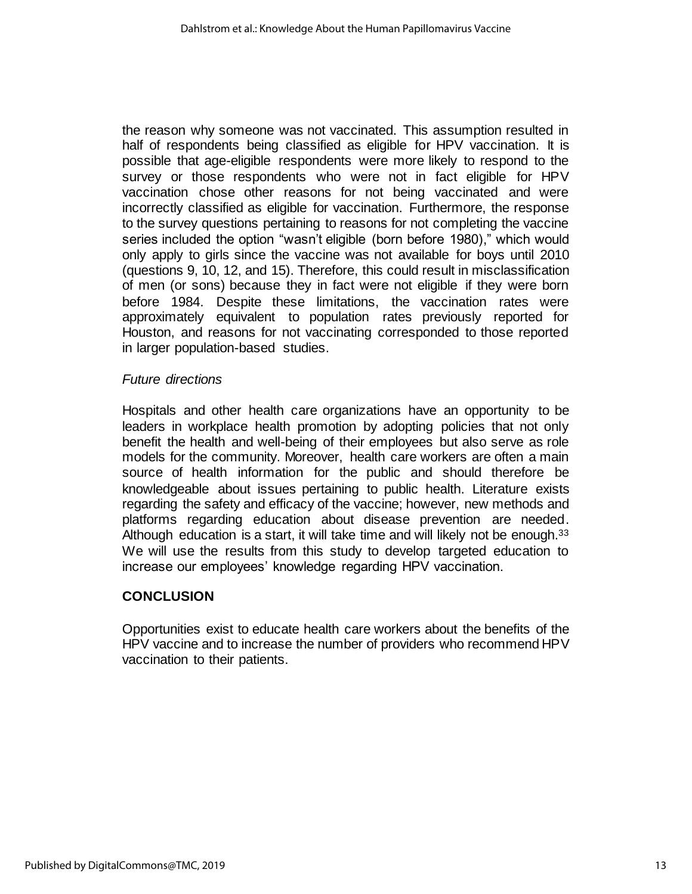the reason why someone was not vaccinated. This assumption resulted in half of respondents being classified as eligible for HPV vaccination. It is possible that age-eligible respondents were more likely to respond to the survey or those respondents who were not in fact eligible for HPV vaccination chose other reasons for not being vaccinated and were incorrectly classified as eligible for vaccination. Furthermore, the response to the survey questions pertaining to reasons for not completing the vaccine series included the option "wasn't eligible (born before 1980)," which would only apply to girls since the vaccine was not available for boys until 2010 (questions 9, 10, 12, and 15). Therefore, this could result in misclassification of men (or sons) because they in fact were not eligible if they were born before 1984. Despite these limitations, the vaccination rates were approximately equivalent to population rates previously reported for Houston, and reasons for not vaccinating corresponded to those reported in larger population-based studies.

## *Future directions*

Hospitals and other health care organizations have an opportunity to be leaders in workplace health promotion by adopting policies that not only benefit the health and well-being of their employees but also serve as role models for the community. Moreover, health care workers are often a main source of health information for the public and should therefore be knowledgeable about issues pertaining to public health. Literature exists regarding the safety and efficacy of the vaccine; however, new methods and platforms regarding education about disease prevention are needed. Although education is a start, it will take time and will likely not be enough.<sup>33</sup> We will use the results from this study to develop targeted education to increase our employees' knowledge regarding HPV vaccination.

# **CONCLUSION**

Opportunities exist to educate health care workers about the benefits of the HPV vaccine and to increase the number of providers who recommend HPV vaccination to their patients.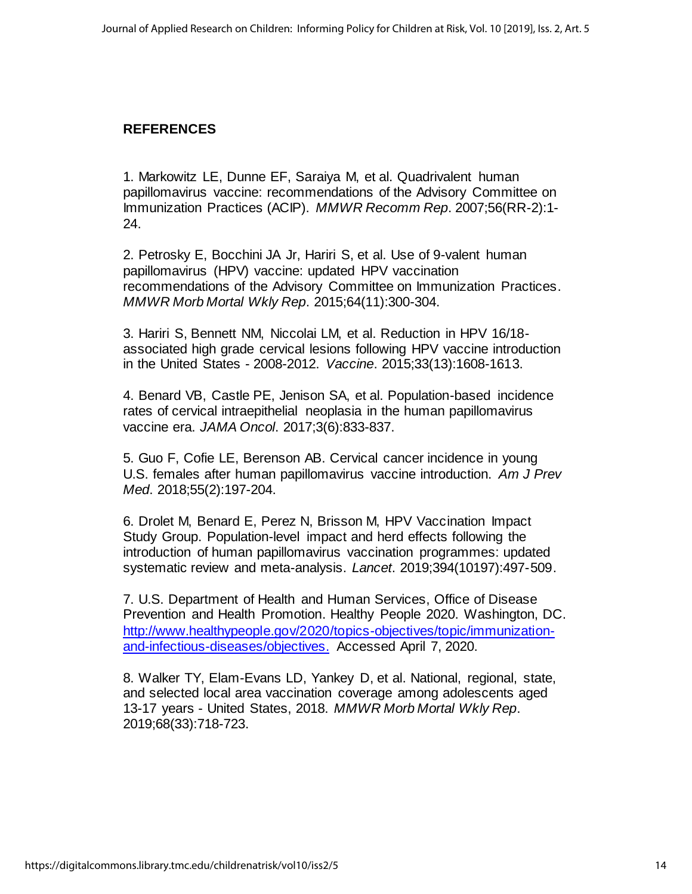# **REFERENCES**

1. Markowitz LE, Dunne EF, Saraiya M, et al. Quadrivalent human papillomavirus vaccine: recommendations of the Advisory Committee on Immunization Practices (ACIP). *MMWR Recomm Rep*. 2007;56(RR-2):1- 24.

2. Petrosky E, Bocchini JA Jr, Hariri S, et al. Use of 9-valent human papillomavirus (HPV) vaccine: updated HPV vaccination recommendations of the Advisory Committee on Immunization Practices. *MMWR Morb Mortal Wkly Rep*. 2015;64(11):300-304.

3. Hariri S, Bennett NM, Niccolai LM, et al. Reduction in HPV 16/18 associated high grade cervical lesions following HPV vaccine introduction in the United States - 2008-2012. *Vaccine*. 2015;33(13):1608-1613.

4. Benard VB, Castle PE, Jenison SA, et al. Population-based incidence rates of cervical intraepithelial neoplasia in the human papillomavirus vaccine era. *JAMA Oncol*. 2017;3(6):833-837.

5. Guo F, Cofie LE, Berenson AB. Cervical cancer incidence in young U.S. females after human papillomavirus vaccine introduction. *Am J Prev Med*. 2018;55(2):197-204.

6. Drolet M, Benard E, Perez N, Brisson M, HPV Vaccination Impact Study Group. Population-level impact and herd effects following the introduction of human papillomavirus vaccination programmes: updated systematic review and meta-analysis. *Lancet*. 2019;394(10197):497-509.

7. U.S. Department of Health and Human Services, Office of Disease Prevention and Health Promotion. Healthy People 2020. Washington, DC. [http://www.healthypeople.gov/2020/topics-objectives/topic/immunization](http://www.healthypeople.gov/2020/topics-objectives/topic/immunization-and-infectious-diseases/objectives)[and-infectious-diseases/objectives.](http://www.healthypeople.gov/2020/topics-objectives/topic/immunization-and-infectious-diseases/objectives) Accessed April 7, 2020.

8. Walker TY, Elam-Evans LD, Yankey D, et al. National, regional, state, and selected local area vaccination coverage among adolescents aged 13-17 years - United States, 2018. *MMWR Morb Mortal Wkly Rep*. 2019;68(33):718-723.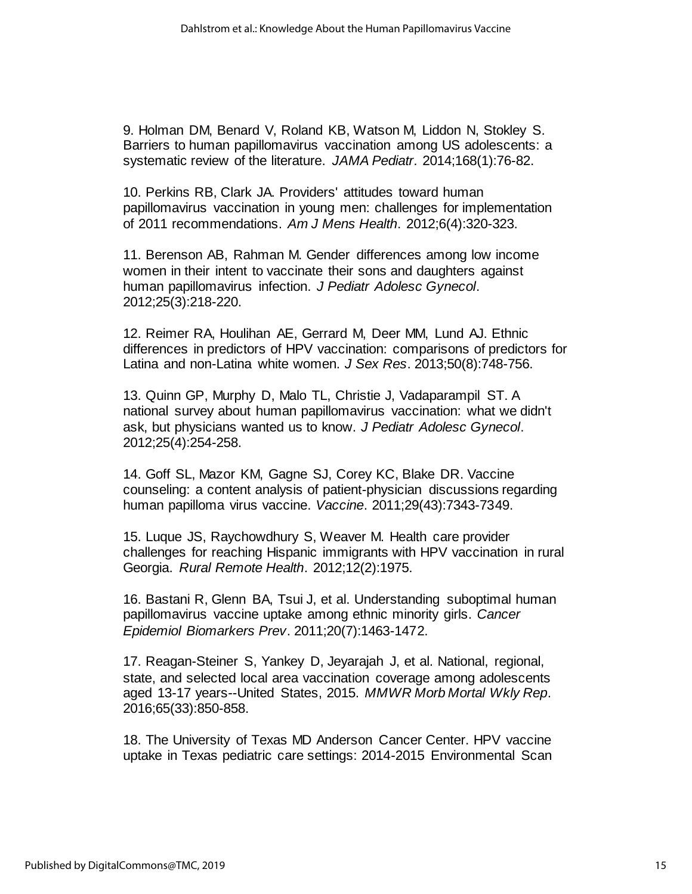9. Holman DM, Benard V, Roland KB, Watson M, Liddon N, Stokley S. Barriers to human papillomavirus vaccination among US adolescents: a systematic review of the literature. *JAMA Pediatr*. 2014;168(1):76-82.

10. Perkins RB, Clark JA. Providers' attitudes toward human papillomavirus vaccination in young men: challenges for implementation of 2011 recommendations. *Am J Mens Health*. 2012;6(4):320-323.

11. Berenson AB, Rahman M. Gender differences among low income women in their intent to vaccinate their sons and daughters against human papillomavirus infection. *J Pediatr Adolesc Gynecol*. 2012;25(3):218-220.

12. Reimer RA, Houlihan AE, Gerrard M, Deer MM, Lund AJ. Ethnic differences in predictors of HPV vaccination: comparisons of predictors for Latina and non-Latina white women. *J Sex Res*. 2013;50(8):748-756.

13. Quinn GP, Murphy D, Malo TL, Christie J, Vadaparampil ST. A national survey about human papillomavirus vaccination: what we didn't ask, but physicians wanted us to know. *J Pediatr Adolesc Gynecol*. 2012;25(4):254-258.

14. Goff SL, Mazor KM, Gagne SJ, Corey KC, Blake DR. Vaccine counseling: a content analysis of patient-physician discussions regarding human papilloma virus vaccine. *Vaccine*. 2011;29(43):7343-7349.

15. Luque JS, Raychowdhury S, Weaver M. Health care provider challenges for reaching Hispanic immigrants with HPV vaccination in rural Georgia. *Rural Remote Health*. 2012;12(2):1975.

16. Bastani R, Glenn BA, Tsui J, et al. Understanding suboptimal human papillomavirus vaccine uptake among ethnic minority girls. *Cancer Epidemiol Biomarkers Prev*. 2011;20(7):1463-1472.

17. Reagan-Steiner S, Yankey D, Jeyarajah J, et al. National, regional, state, and selected local area vaccination coverage among adolescents aged 13-17 years--United States, 2015. *MMWR Morb Mortal Wkly Rep*. 2016;65(33):850-858.

18. The University of Texas MD Anderson Cancer Center. HPV vaccine uptake in Texas pediatric care settings: 2014-2015 Environmental Scan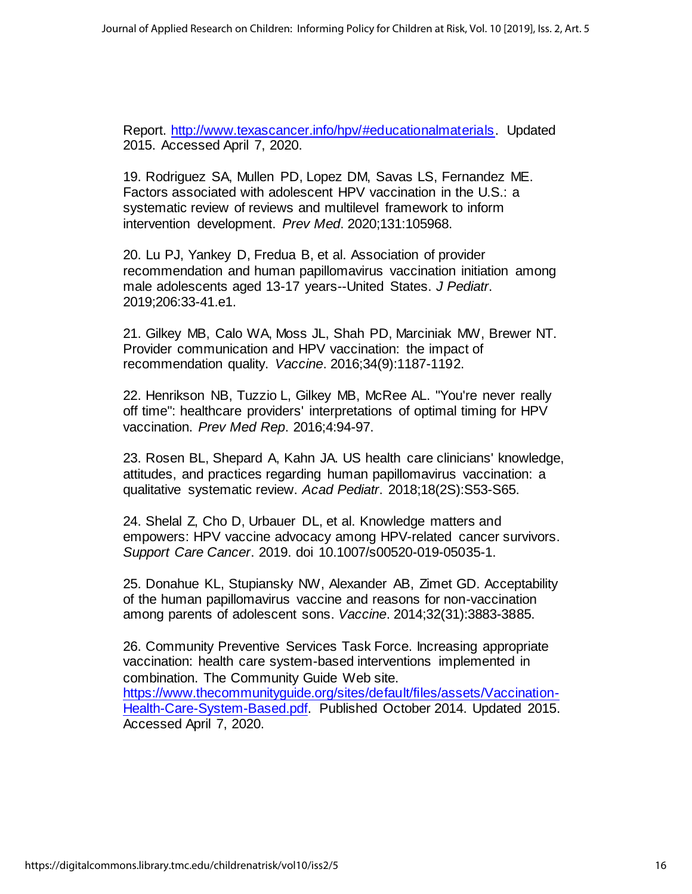Report. [http://www.texascancer.info/hpv/#educationalmaterials.](http://www.texascancer.info/hpv/#educationalmaterials) Updated 2015. Accessed April 7, 2020.

19. Rodriguez SA, Mullen PD, Lopez DM, Savas LS, Fernandez ME. Factors associated with adolescent HPV vaccination in the U.S.: a systematic review of reviews and multilevel framework to inform intervention development. *Prev Med*. 2020;131:105968.

20. Lu PJ, Yankey D, Fredua B, et al. Association of provider recommendation and human papillomavirus vaccination initiation among male adolescents aged 13-17 years--United States. *J Pediatr*. 2019;206:33-41.e1.

21. Gilkey MB, Calo WA, Moss JL, Shah PD, Marciniak MW, Brewer NT. Provider communication and HPV vaccination: the impact of recommendation quality. *Vaccine*. 2016;34(9):1187-1192.

22. Henrikson NB, Tuzzio L, Gilkey MB, McRee AL. "You're never really off time": healthcare providers' interpretations of optimal timing for HPV vaccination. *Prev Med Rep*. 2016;4:94-97.

23. Rosen BL, Shepard A, Kahn JA. US health care clinicians' knowledge, attitudes, and practices regarding human papillomavirus vaccination: a qualitative systematic review. *Acad Pediatr*. 2018;18(2S):S53-S65.

24. Shelal Z, Cho D, Urbauer DL, et al. Knowledge matters and empowers: HPV vaccine advocacy among HPV-related cancer survivors. *Support Care Cancer*. 2019. doi 10.1007/s00520-019-05035-1.

25. Donahue KL, Stupiansky NW, Alexander AB, Zimet GD. Acceptability of the human papillomavirus vaccine and reasons for non-vaccination among parents of adolescent sons. *Vaccine*. 2014;32(31):3883-3885.

26. Community Preventive Services Task Force. Increasing appropriate vaccination: health care system-based interventions implemented in combination. The Community Guide Web site. [https://www.thecommunityguide.org/sites/default/files/assets/Vaccination-](https://www.thecommunityguide.org/sites/default/files/assets/Vaccination-Health-Care-System-Based.pdf)[Health-Care-System-Based.pdf.](https://www.thecommunityguide.org/sites/default/files/assets/Vaccination-Health-Care-System-Based.pdf) Published October 2014. Updated 2015. Accessed April 7, 2020.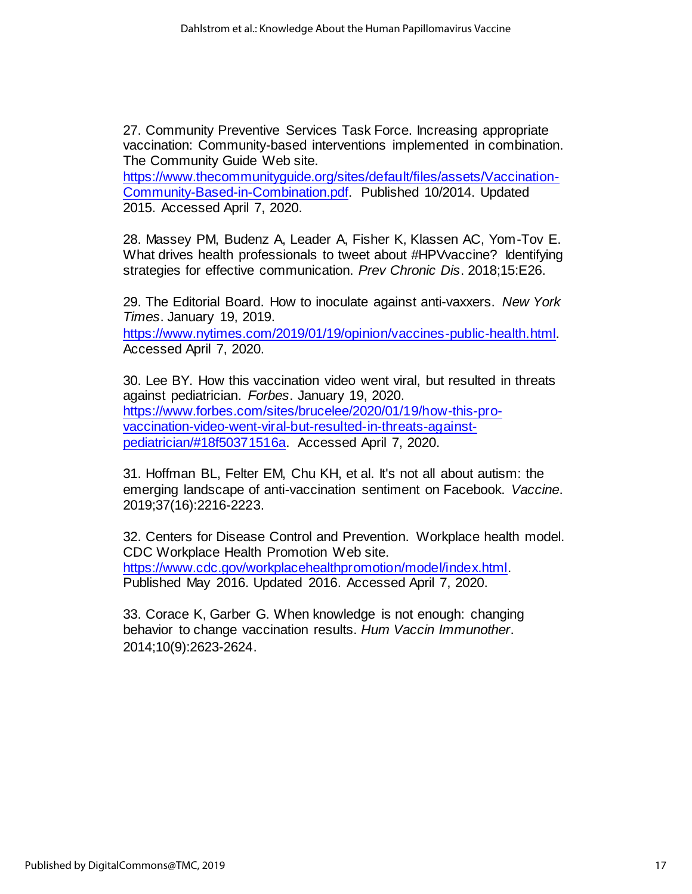27. Community Preventive Services Task Force. Increasing appropriate vaccination: Community-based interventions implemented in combination. The Community Guide Web site.

[https://www.thecommunityguide.org/sites/default/files/assets/Vaccination-](https://www.thecommunityguide.org/sites/default/files/assets/Vaccination-Community-Based-in-Combination.pdf)[Community-Based-in-Combination.pdf.](https://www.thecommunityguide.org/sites/default/files/assets/Vaccination-Community-Based-in-Combination.pdf) Published 10/2014. Updated 2015. Accessed April 7, 2020.

28. Massey PM, Budenz A, Leader A, Fisher K, Klassen AC, Yom-Tov E. What drives health professionals to tweet about #HPVvaccine? Identifying strategies for effective communication. *Prev Chronic Dis*. 2018;15:E26.

29. The Editorial Board. How to inoculate against anti-vaxxers. *New York Times*. January 19, 2019.

[https://www.nytimes.com/2019/01/19/opinion/vaccines-public-health.html.](https://www.nytimes.com/2019/01/19/opinion/vaccines-public-health.html)  Accessed April 7, 2020.

30. Lee BY. How this vaccination video went viral, but resulted in threats against pediatrician. *Forbes*. January 19, 2020. [https://www.forbes.com/sites/brucelee/2020/01/19/how-this-pro](https://www.forbes.com/sites/brucelee/2020/01/19/how-this-pro-vaccination-video-went-viral-but-resulted-in-threats-against-pediatrician/#18f50371516a)[vaccination-video-went-viral-but-resulted-in-threats-against](https://www.forbes.com/sites/brucelee/2020/01/19/how-this-pro-vaccination-video-went-viral-but-resulted-in-threats-against-pediatrician/#18f50371516a)[pediatrician/#18f50371516a.](https://www.forbes.com/sites/brucelee/2020/01/19/how-this-pro-vaccination-video-went-viral-but-resulted-in-threats-against-pediatrician/#18f50371516a) Accessed April 7, 2020.

31. Hoffman BL, Felter EM, Chu KH, et al. It's not all about autism: the emerging landscape of anti-vaccination sentiment on Facebook. *Vaccine*. 2019;37(16):2216-2223.

32. Centers for Disease Control and Prevention. Workplace health model. CDC Workplace Health Promotion Web site. [https://www.cdc.gov/workplacehealthpromotion/model/index.html.](https://www.cdc.gov/workplacehealthpromotion/model/index.html)  Published May 2016. Updated 2016. Accessed April 7, 2020.

33. Corace K, Garber G. When knowledge is not enough: changing behavior to change vaccination results. *Hum Vaccin Immunother*. 2014;10(9):2623-2624.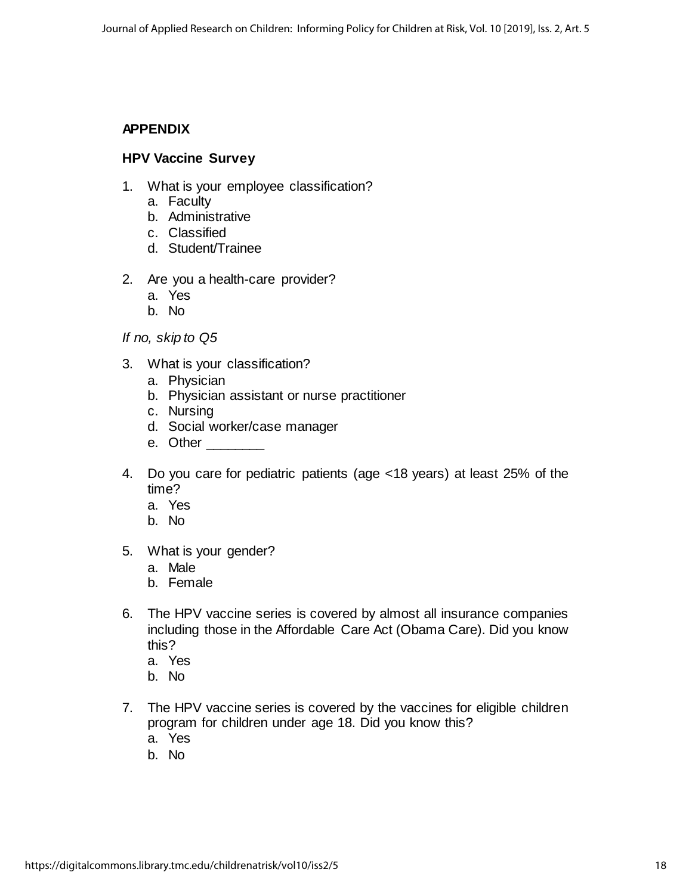# **APPENDIX**

## **HPV Vaccine Survey**

- 1. What is your employee classification?
	- a. Faculty
	- b. Administrative
	- c. Classified
	- d. Student/Trainee
- 2. Are you a health-care provider?
	- a. Yes
	- b. No

*If no, skip to Q5*

- 3. What is your classification?
	- a. Physician
	- b. Physician assistant or nurse practitioner
	- c. Nursing
	- d. Social worker/case manager
	- e. Other \_\_\_\_\_\_\_\_\_
- 4. Do you care for pediatric patients (age <18 years) at least 25% of the time?
	- a. Yes
	- b. No
- 5. What is your gender?
	- a. Male
	- b. Female
- 6. The HPV vaccine series is covered by almost all insurance companies including those in the Affordable Care Act (Obama Care). Did you know this?
	- a. Yes
	- b. No
- 7. The HPV vaccine series is covered by the vaccines for eligible children program for children under age 18. Did you know this? a. Yes
	- b. No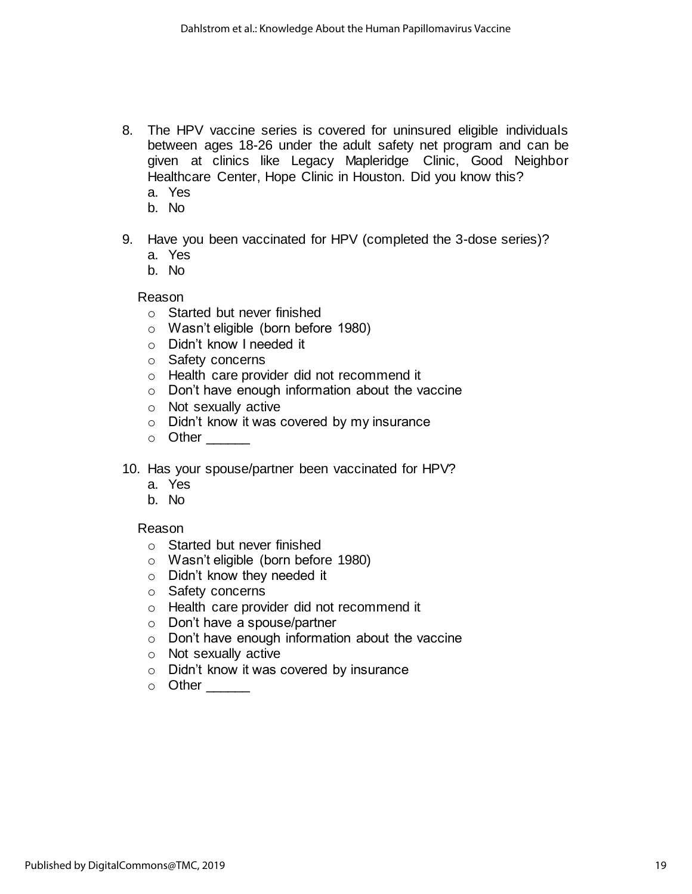- 8. The HPV vaccine series is covered for uninsured eligible individuals between ages 18-26 under the adult safety net program and can be given at clinics like Legacy Mapleridge Clinic, Good Neighbor Healthcare Center, Hope Clinic in Houston. Did you know this? a. Yes
	- b. No
	-
- 9. Have you been vaccinated for HPV (completed the 3-dose series)?
	- a. Yes
	- b. No

Reason

- o Started but never finished
- o Wasn't eligible (born before 1980)
- o Didn't know I needed it
- o Safety concerns
- o Health care provider did not recommend it
- o Don't have enough information about the vaccine
- o Not sexually active
- o Didn't know it was covered by my insurance
- $\circ$  Other  $\_\_$
- 10. Has your spouse/partner been vaccinated for HPV?
	- a. Yes
	- b. No

#### Reason

- o Started but never finished
- o Wasn't eligible (born before 1980)
- o Didn't know they needed it
- o Safety concerns
- o Health care provider did not recommend it
- o Don't have a spouse/partner
- o Don't have enough information about the vaccine
- o Not sexually active
- o Didn't know it was covered by insurance
- o Other \_\_\_\_\_\_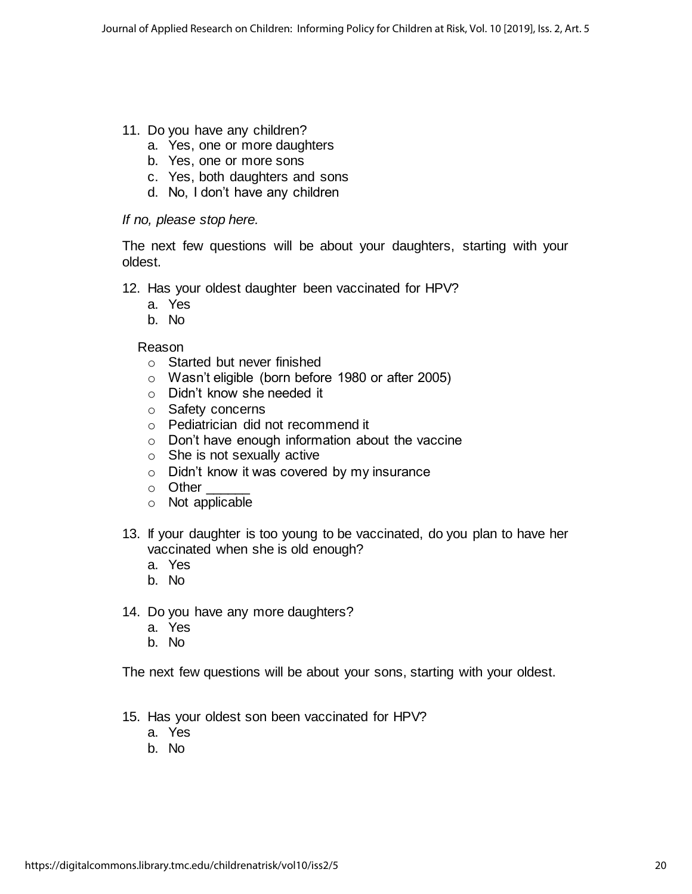- 11. Do you have any children?
	- a. Yes, one or more daughters
	- b. Yes, one or more sons
	- c. Yes, both daughters and sons
	- d. No, I don't have any children

## *If no, please stop here.*

The next few questions will be about your daughters, starting with your oldest.

- 12. Has your oldest daughter been vaccinated for HPV?
	- a. Yes
	- b. No

## Reason

- o Started but never finished
- o Wasn't eligible (born before 1980 or after 2005)
- o Didn't know she needed it
- o Safety concerns
- o Pediatrician did not recommend it
- o Don't have enough information about the vaccine
- o She is not sexually active
- o Didn't know it was covered by my insurance
- $\circ$  Other
- o Not applicable
- 13. If your daughter is too young to be vaccinated, do you plan to have her vaccinated when she is old enough?
	- a. Yes
	- b. No
- 14. Do you have any more daughters?
	- a. Yes
	- b. No

The next few questions will be about your sons, starting with your oldest.

- 15. Has your oldest son been vaccinated for HPV?
	- a. Yes
	- b. No